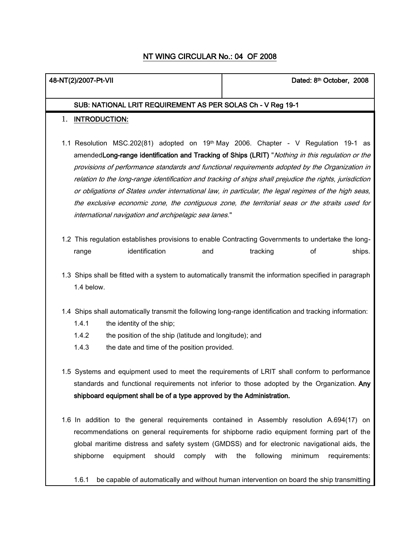# NT WING CIRCULAR No.: 04 OF 2008

| 48-NT(2)/2007-Pt-VII                                                                                                                                                                                                                                                                                                                                                                                                                                                                                                                                                                                                                                                                 | Dated: 8th October, 2008                                                                                                                                                                                                                                                                                                        |  |
|--------------------------------------------------------------------------------------------------------------------------------------------------------------------------------------------------------------------------------------------------------------------------------------------------------------------------------------------------------------------------------------------------------------------------------------------------------------------------------------------------------------------------------------------------------------------------------------------------------------------------------------------------------------------------------------|---------------------------------------------------------------------------------------------------------------------------------------------------------------------------------------------------------------------------------------------------------------------------------------------------------------------------------|--|
| SUB: NATIONAL LRIT REQUIREMENT AS PER SOLAS Ch - V Reg 19-1                                                                                                                                                                                                                                                                                                                                                                                                                                                                                                                                                                                                                          |                                                                                                                                                                                                                                                                                                                                 |  |
| <b>INTRODUCTION:</b><br>1.                                                                                                                                                                                                                                                                                                                                                                                                                                                                                                                                                                                                                                                           |                                                                                                                                                                                                                                                                                                                                 |  |
| 1.1 Resolution MSC.202(81) adopted on 19 <sup>th</sup> May 2006. Chapter - V Regulation 19-1 as<br>amendedLong-range identification and Tracking of Ships (LRIT) "Nothing in this regulation or the<br>provisions of performance standards and functional requirements adopted by the Organization in<br>relation to the long-range identification and tracking of ships shall prejudice the rights, jurisdiction<br>or obligations of States under international law, in particular, the legal regimes of the high seas,<br>the exclusive economic zone, the contiguous zone, the territorial seas or the straits used for<br>international navigation and archipelagic sea lanes." |                                                                                                                                                                                                                                                                                                                                 |  |
| 1.2 This regulation establishes provisions to enable Contracting Governments to undertake the long-<br>identification<br>range<br>and                                                                                                                                                                                                                                                                                                                                                                                                                                                                                                                                                | tracking<br>ships.<br>οf                                                                                                                                                                                                                                                                                                        |  |
| 1.4 below.                                                                                                                                                                                                                                                                                                                                                                                                                                                                                                                                                                                                                                                                           | 1.3 Ships shall be fitted with a system to automatically transmit the information specified in paragraph                                                                                                                                                                                                                        |  |
| 1.4 Ships shall automatically transmit the following long-range identification and tracking information:<br>1.4.1<br>the identity of the ship;<br>1.4.2<br>the position of the ship (latitude and longitude); and<br>1.4.3<br>the date and time of the position provided.                                                                                                                                                                                                                                                                                                                                                                                                            |                                                                                                                                                                                                                                                                                                                                 |  |
| 1.5 Systems and equipment used to meet the requirements of LRIT shall conform to performance<br>standards and functional requirements not inferior to those adopted by the Organization. Any<br>shipboard equipment shall be of a type approved by the Administration.                                                                                                                                                                                                                                                                                                                                                                                                               |                                                                                                                                                                                                                                                                                                                                 |  |
| 1.6 In addition to the general requirements contained in Assembly resolution A.694(17) on<br>should<br>comply with the<br>shipborne<br>equipment<br>1.6.1                                                                                                                                                                                                                                                                                                                                                                                                                                                                                                                            | recommendations on general requirements for shipborne radio equipment forming part of the<br>global maritime distress and safety system (GMDSS) and for electronic navigational aids, the<br>following<br>minimum<br>requirements:<br>be capable of automatically and without human intervention on board the ship transmitting |  |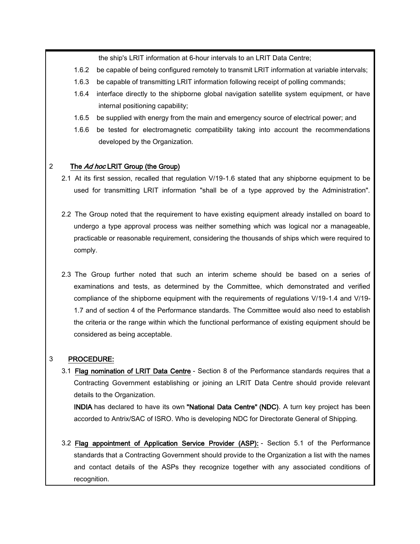the ship's LRIT information at 6-hour intervals to an LRIT Data Centre;

- 1.6.2 be capable of being configured remotely to transmit LRIT information at variable intervals;
- 1.6.3 be capable of transmitting LRIT information following receipt of polling commands;
- 1.6.4 interface directly to the shipborne global navigation satellite system equipment, or have internal positioning capability;
- 1.6.5 be supplied with energy from the main and emergency source of electrical power; and
- 1.6.6 be tested for electromagnetic compatibility taking into account the recommendations developed by the Organization.

### 2 The Ad hoc LRIT Group (the Group)

- 2.1 At its first session, recalled that regulation V/19-1.6 stated that any shipborne equipment to be used for transmitting LRIT information "shall be of a type approved by the Administration".
- 2.2 The Group noted that the requirement to have existing equipment already installed on board to undergo a type approval process was neither something which was logical nor a manageable, practicable or reasonable requirement, considering the thousands of ships which were required to comply.
- 2.3 The Group further noted that such an interim scheme should be based on a series of examinations and tests, as determined by the Committee, which demonstrated and verified compliance of the shipborne equipment with the requirements of regulations V/19-1.4 and V/19- 1.7 and of section 4 of the Performance standards. The Committee would also need to establish the criteria or the range within which the functional performance of existing equipment should be considered as being acceptable.

#### 3 PROCEDURE:

3.1 Flag nomination of LRIT Data Centre - Section 8 of the Performance standards requires that a Contracting Government establishing or joining an LRIT Data Centre should provide relevant details to the Organization.

INDIA has declared to have its own "National Data Centre" (NDC). A turn key project has been accorded to Antrix/SAC of ISRO. Who is developing NDC for Directorate General of Shipping.

3.2 Flag appointment of Application Service Provider (ASP): - Section 5.1 of the Performance standards that a Contracting Government should provide to the Organization a list with the names and contact details of the ASPs they recognize together with any associated conditions of recognition.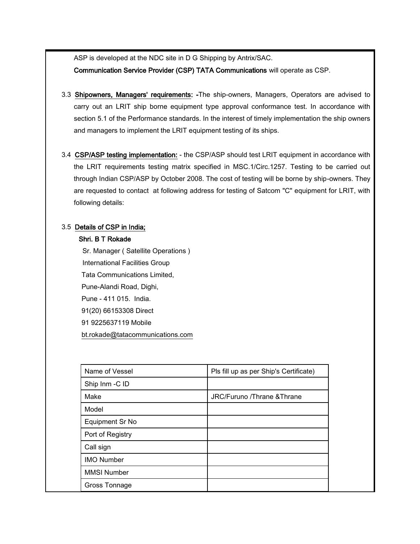ASP is developed at the NDC site in D G Shipping by Antrix/SAC.

Communication Service Provider (CSP) TATA Communications will operate as CSP.

- 3.3 Shipowners, Managers' requirements: -The ship-owners, Managers, Operators are advised to carry out an LRIT ship borne equipment type approval conformance test. In accordance with section 5.1 of the Performance standards. In the interest of timely implementation the ship owners and managers to implement the LRIT equipment testing of its ships.
- 3.4 CSP/ASP testing implementation: the CSP/ASP should test LRIT equipment in accordance with the LRIT requirements testing matrix specified in MSC.1/Circ.1257. Testing to be carried out through Indian CSP/ASP by October 2008. The cost of testing will be borne by ship-owners. They are requested to contact at following address for testing of Satcom "C" equipment for LRIT, with following details:

## 3.5 Details of CSP in India;

#### Shri. B T Rokade

 Sr. Manager ( Satellite Operations ) International Facilities Group Tata Communications Limited, Pune-Alandi Road, Dighi, Pune - 411 015. India. 91(20) 66153308 Direct 91 9225637119 Mobile [bt.rokade@tatacommunications.com](mailto:bt.rokade@tatacommunications.com)

| Name of Vessel     | Pls fill up as per Ship's Certificate) |
|--------------------|----------------------------------------|
| Ship Inm -C ID     |                                        |
| Make               | JRC/Furuno /Thrane &Thrane             |
| Model              |                                        |
| Equipment Sr No    |                                        |
| Port of Registry   |                                        |
| Call sign          |                                        |
| <b>IMO Number</b>  |                                        |
| <b>MMSI Number</b> |                                        |
| Gross Tonnage      |                                        |